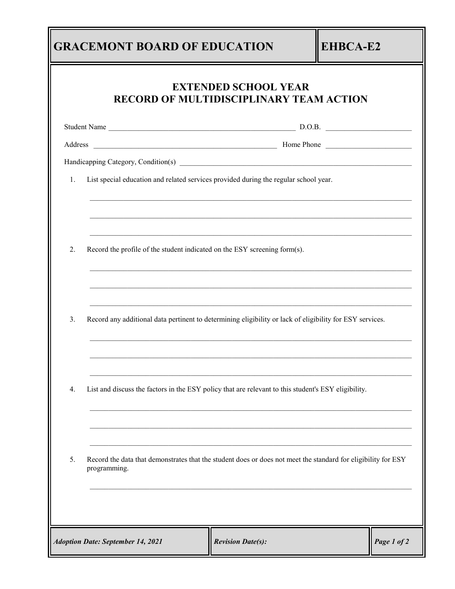|    | <b>RECORD OF MULTIDISCIPLINARY TEAM ACTION</b>                                                                                | <b>EXTENDED SCHOOL YEAR</b> |  |
|----|-------------------------------------------------------------------------------------------------------------------------------|-----------------------------|--|
|    |                                                                                                                               |                             |  |
|    |                                                                                                                               |                             |  |
|    |                                                                                                                               |                             |  |
| 1. | List special education and related services provided during the regular school year.                                          |                             |  |
| 2. | Record the profile of the student indicated on the ESY screening form(s).                                                     |                             |  |
| 3. | Record any additional data pertinent to determining eligibility or lack of eligibility for ESY services.                      |                             |  |
| 4. | List and discuss the factors in the ESY policy that are relevant to this student's ESY eligibility.                           |                             |  |
| 5. | Record the data that demonstrates that the student does or does not meet the standard for eligibility for ESY<br>programming. |                             |  |